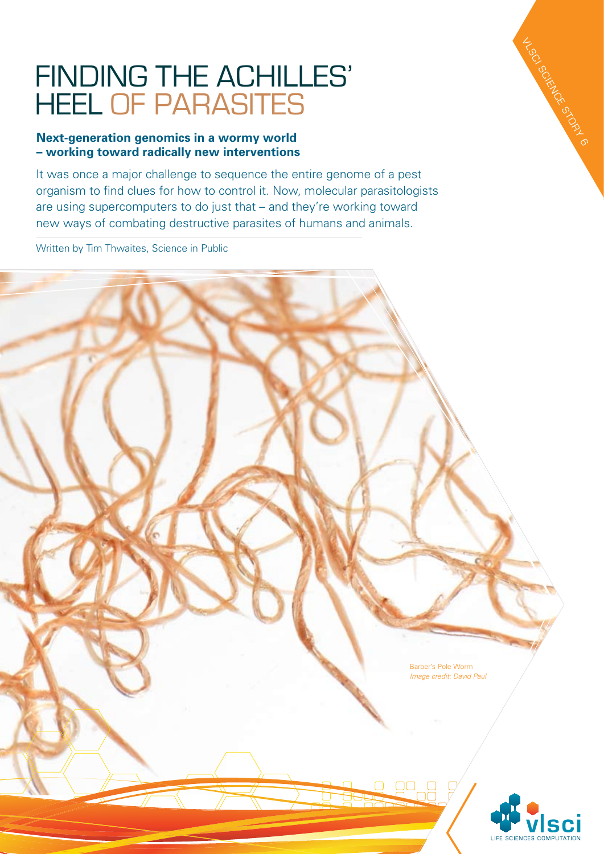## Finding the Achilles' heel of parasiteS

## **Next-generation genomics in a wormy world – working toward radically new interventions**

It was once a major challenge to sequence the entire genome of a pest organism to find clues for how to control it. Now, molecular parasitologists are using supercomputers to do just that – and they're working toward new ways of combating destructive parasites of humans and animals.

Written by Tim Thwaites, Science in Public





VLSC SCIENCE STORY 6